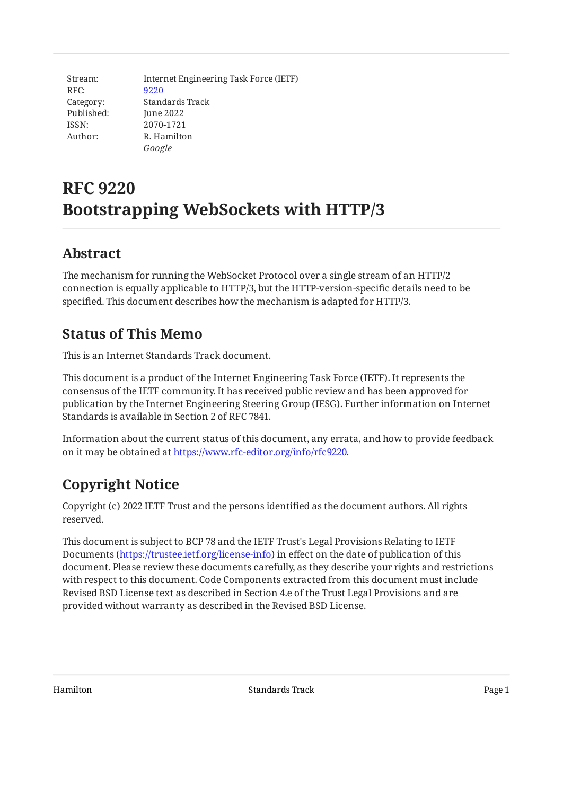Stream: RFC: Category: Published: ISSN: Author: Internet Engineering Task Force (IETF) [9220](https://www.rfc-editor.org/rfc/rfc9220) Standards Track June 2022 2070-1721 R. Hamilton *Google*

# **RFC 9220 Bootstrapping WebSockets with HTTP/3**

# <span id="page-0-0"></span>**[Abstract](#page-0-0)**

The mechanism for running the WebSocket Protocol over a single stream of an HTTP/2 connection is equally applicable to HTTP/3, but the HTTP-version-specific details need to be specified. This document describes how the mechanism is adapted for HTTP/3.

# <span id="page-0-1"></span>**[Status of This Memo](#page-0-1)**

This is an Internet Standards Track document.

This document is a product of the Internet Engineering Task Force (IETF). It represents the consensus of the IETF community. It has received public review and has been approved for publication by the Internet Engineering Steering Group (IESG). Further information on Internet Standards is available in Section 2 of RFC 7841.

Information about the current status of this document, any errata, and how to provide feedback on it may be obtained at [https://www.rfc-editor.org/info/rfc9220.](https://www.rfc-editor.org/info/rfc9220)

# <span id="page-0-2"></span>**[Copyright Notice](#page-0-2)**

Copyright (c) 2022 IETF Trust and the persons identified as the document authors. All rights reserved.

This document is subject to BCP 78 and the IETF Trust's Legal Provisions Relating to IETF Documents (<https://trustee.ietf.org/license-info>) in effect on the date of publication of this document. Please review these documents carefully, as they describe your rights and restrictions with respect to this document. Code Components extracted from this document must include Revised BSD License text as described in Section 4.e of the Trust Legal Provisions and are provided without warranty as described in the Revised BSD License.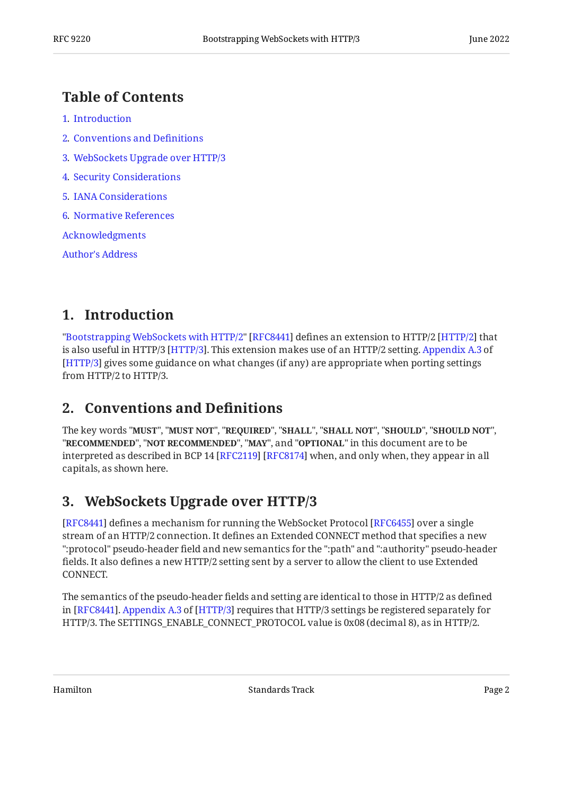### <span id="page-1-0"></span>**[Table of Contents](#page-1-0)**

- [1](#page-1-1). [Introduction](#page-1-1)
- [2](#page-1-2). [Conventions and De](#page-1-2)finitions
- [3](#page-1-3). [WebSockets Upgrade over HTTP/3](#page-1-3)
- [4](#page-2-0). [Security Considerations](#page-2-0)
- [5](#page-2-1). [IANA Considerations](#page-2-1)
- [6](#page-2-2). [Normative References](#page-2-2)

[Acknowledgments](#page-3-0)

[Author's Address](#page-3-1)

### <span id="page-1-1"></span>**[1. Introduction](#page-1-1)**

"[Bootstrapping WebSockets with HTTP/2"](#page-3-2) [RFC8441] defines an extension to HTTP/2 [HTTP/2] that is also useful in [HTTP/3](#page-2-4) [HTTP/3]. This extension makes use of an HTTP/2 setting. [Appendix A.3](https://www.rfc-editor.org/rfc/rfc9114#appendix-A.3) of [[HTTP/3](#page-2-4)] gives some guidance on what changes (if any) are appropriate when porting settings from HTTP/2 to HTTP/3.

#### <span id="page-1-2"></span>**[2. Conventions and De](#page-1-2)finitions**

The key words "MUST", "MUST NOT", "REQUIRED", "SHALL", "SHALL NOT", "SHOULD", "SHOULD NOT", "**RECOMMENDED", "NOT RECOMMENDED", "MAY",** and "OPTIONAL" in this document are to be interpreted as described in BCP 14 [RFC2119] [RFC8174] when, and only when, they appear in all capitals, as shown here.

# <span id="page-1-3"></span>**[3. WebSockets Upgrade over HTTP/3](#page-1-3)**

[[RFC8441\]](#page-3-2) defines a mechanism for running the WebSocket Protocol [RFC6455] over a single stream of an HTTP/2 connection. It defines an Extended CONNECT method that specifies a new ":protocol" pseudo-header field and new semantics for the ":path" and ":authority" pseudo-header fields. It also defines a new HTTP/2 setting sent by a server to allow the client to use Extended CONNECT.

The semantics of the pseudo-header fields and setting are identical to those in HTTP/2 as defined in[RFC8441]. Appendix A.3 of [HTTP/3] requires that HTTP/3 settings be registered separately for HTTP/3. The SETTINGS\_ENABLE\_CONNECT\_PROTOCOL value is 0x08 (decimal 8), as in HTTP/2.

Hamilton Standards Track Page 2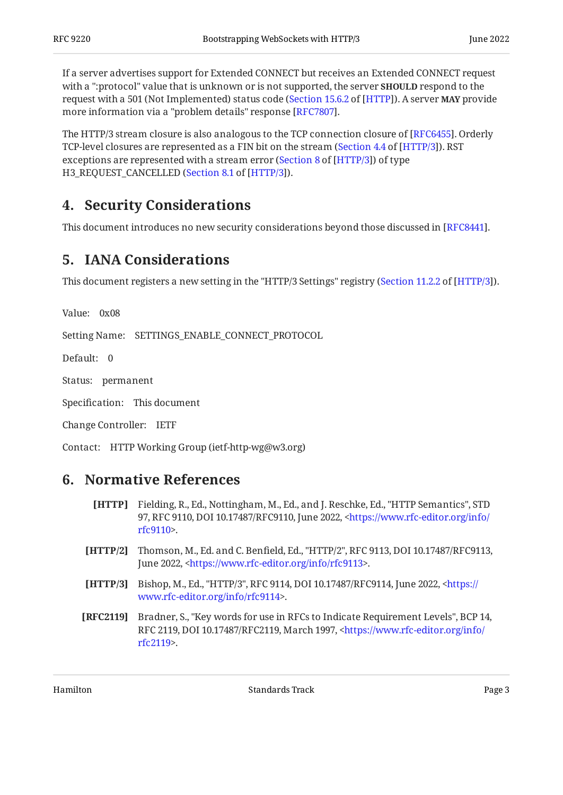If a server advertises support for Extended CONNECT but receives an Extended CONNECT request with a ":protocol" value that is unknown or is not supported, the server **SHOULD** respond to the request with a 501 (Not Implemented) status code ([Section 15.6.2](https://www.rfc-editor.org/rfc/rfc9110#section-15.6.2) of [[HTTP](#page-2-6)]). A server **MAY** provide more information via a "problem details" response [RFC7807].

The HTTP/3 stream closure is also analogous to the TCP connection closure of [RFC6455]. Orderly TCP-level closures are represented as a FIN bit on the stream ([Section 4.4](https://www.rfc-editor.org/rfc/rfc9114#section-4.4) of [[HTTP/3](#page-2-4)]). RST exceptions are represented with a stream error [\(](https://www.rfc-editor.org/rfc/rfc9114#section-8)Section 8 of  $[HTTP/3]$ ) of type H3\_REQUEST\_CANCELLED ([Section 8.1](https://www.rfc-editor.org/rfc/rfc9114#section-8.1) of [\[HTTP/3](#page-2-4)]).

### <span id="page-2-0"></span>**[4. Security Considerations](#page-2-0)**

<span id="page-2-1"></span>This document introduces no new security considerations beyond those discussed in [\[RFC8441](#page-3-2)].

# **[5. IANA Considerations](#page-2-1)**

This document registers a new setting in the "HTTP/3 Settings" registry ([Section 11.2.2](https://www.rfc-editor.org/rfc/rfc9114#section-11.2.2) of [[HTTP/3](#page-2-4)]).

Value: 0x08

Setting Name: SETTINGS\_ENABLE\_CONNECT\_PROTOCOL

Default: 0

Status: permanent

Specification: This document

Change Controller: IETF

<span id="page-2-2"></span>Contact: HTTP Working Group (ietf-http-wg@w3.org)

#### <span id="page-2-6"></span>**[6. Normative References](#page-2-2)**

- **[HTTP]** Fielding, R., Ed., Nottingham, M., Ed., and J. Reschke, Ed., "HTTP Semantics", STD 97, RFC 9110, DOI 10.17487/RFC9110, June 2022, [<https://www.rfc-editor.org/info/](https://www.rfc-editor.org/info/rfc9110) . [rfc9110](https://www.rfc-editor.org/info/rfc9110)>
- <span id="page-2-3"></span>**[HTTP/2]** Thomson, M., Ed. and C. Benfield, Ed., "HTTP/2", RFC 9113, DOI 10.17487/RFC9113, June 2022, <https://www.rfc-editor.org/info/rfc9113>.
- <span id="page-2-4"></span>**[HTTP/3]** Bishop, M., Ed., "HTTP/3", RFC 9114, DOI 10.17487/RFC9114, June 2022, [<https://](https://www.rfc-editor.org/info/rfc9114) . [www.rfc-editor.org/info/rfc9114>](https://www.rfc-editor.org/info/rfc9114)
- <span id="page-2-5"></span>**[RFC2119]** Bradner, S., "Key words for use in RFCs to Indicate Requirement Levels", BCP 14, RFC 2119, DOI 10.17487/RFC2119, March 1997, [<https://www.rfc-editor.org/info/](https://www.rfc-editor.org/info/rfc2119) . [rfc2119](https://www.rfc-editor.org/info/rfc2119)>

Hamilton Standards Track Page 3